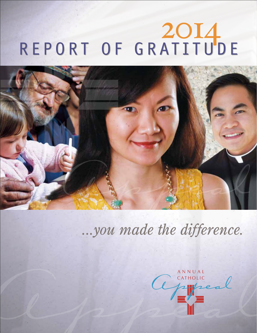# REPORT OF GRATITUDE



# *...you made the difference.*

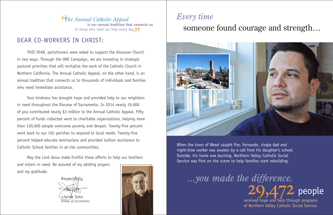#### Dear co-workers in Christ:

THIS YEAR, parishioners were asked to support the diocesan Church in two ways. Through the ONE Campaign, we are investing in strategic pastoral priorities that will revitalize the work of the Catholic Church in Northern California. The Annual Catholic Appeal, on the other hand, is an annual tradition that connects us to thousands of individuals and families who need immediate assistance.

*The Annual Catholic Appeal* **is our annual tradition that connects us** to those who need our help every day.

 Your kindness has brought hope and provided help to our neighbors in need throughout the Diocese of Sacramento. In 2014 nearly 19,000 of you contributed nearly \$3 million to the Annual Catholic Appeal. Fifty percent of funds collected went to charitable organizations, helping more than 120,000 people overcome poverty and despair. Twenty-five percent went back to our 102 parishes to respond to local needs. Twenty-five percent helped educate seminarians and provided tuition assistance to Catholic School families in at-risk communities.

# received hope and help through programs of Northern Valley Catholic Social Service.  $20.472$  people

May the Lord Jesus make fruitful these efforts to help our brothers and sisters in need. Be assured of my abiding prayers and my gratitude.

Respectfully,

+Jaime Soto *Bishop of Sacramento*



# *Every time* someone found courage and strength…



When the town of Weed caught fire, Fernando, single dad and night-time worker was awaken by a call from his daughter's school. Outside, his home was burning. Northern Valley Catholic Social Service was first on the scene to help families start rebuilding.

*...you made the difference.*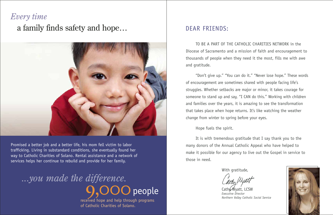To be a part of the Catholic Charities network in the Diocese of Sacramento and a mission of faith and encouragement to thousands of people when they need it the most, fills me with awe and gratitude.

"Don't give up." "You can do it." "Never lose hope." These words of encouragement are sometimes shared with people facing life's struggles. Whether setbacks are major or minor, it takes courage for someone to stand up and say, "I CAN do this." Working with children and families over the years, it is amazing to see the transformation that takes place when hope returns. It's like watching the weather change from winter to spring before your eyes.

Cath $\mathcal W$  Wyatt, LCSW *Executive Director*

#### Hope fuels the spirit.

*...you made the difference.*  $\bigcup$  people

 It is with tremendous gratitude that I say thank you to the many donors of the Annual Catholic Appeal who have helped to make it possible for our agency to live out the Gospel in service to those in need.

With gratitude,

*Northern Valley Catholic Social Service*



#### Dear friends:

#### *Every time*

a family finds safety and hope…



Promised a better job and a better life, his mom fell victim to labor trafficking. Living in substandard conditions, she eventually found her way to Catholic Charities of Solano. Rental assistance and a network of services helps her continue to rebuild and provide for her family.

> received hope and help through programs of Catholic Charities of Solano.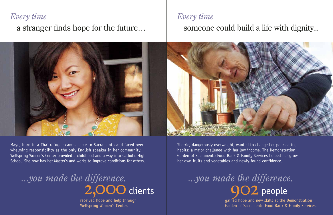#### *Every time*

a stranger finds hope for the future…

Maye, born in a Thai refugee camp, came to Sacramento and faced overwhelming responsibility as the only English speaker in her community. Wellspring Women's Center provided a childhood and a way into Catholic High School. She now has her Master's and works to improve conditions for others.

*...you made the difference.* 2.000 clients

gained hope and new skills at the Demonstration Garden of Sacramento Food Bank & Family Services. *...you made the difference.* **QO2** people

received hope and help through Wellspring Women's Center.

Sherrie, dangerously overweight, wanted to change her poor eating habits: a major challenge with her low income. The Demonstration Garden of Sacramento Food Bank & Family Services helped her grow her own fruits and vegetables and newly-found confidence.

*Every time*



### someone could build a life with dignity...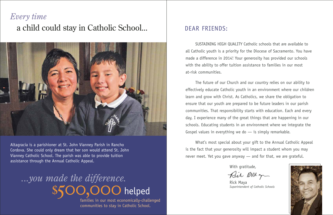SUSTAINING HIGH QUALITY Catholic schools that are available to all Catholic youth is a priority for the Diocese of Sacramento. You have made a difference in 2014! Your generosity has provided our schools with the ability to offer tuition assistance to families in our most at-risk communities.

 The future of our Church and our country relies on our ability to effectively educate Catholic youth in an environment where our children learn and grow with Christ. As Catholics, we share the obligation to ensure that our youth are prepared to be future leaders in our parish communities. That responsibility starts with education. Each and every day, I experience many of the great things that are happening in our schools. Educating students in an environment where we integrate the Gospel values in everything we do  $-$  is simply remarkable.

# *...you made the difference.* 1. OOO helped

 What's most special about your gift to the Annual Catholic Appeal is the fact that your generosity will impact a student whom you may never meet. Yet you gave anyway — and for that, we are grateful.

With gratitude,

Rick Maya *Superintendent of Catholic Schools*

Bir RM gr



#### Dear friends:

# *Every time* a child could stay in Catholic School...



Altagracia is a parishioner at St. John Vianney Parish in Rancho Cordova. She could only dream that her son would attend St. John Vianney Catholic School. The parish was able to provide tuition assistance through the Annual Catholic Appeal.

> families in our most economically-challenged communities to stay in Catholic School.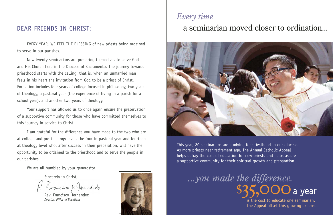EVERY YEAR, WE FEEL THE BLESSING of new priests being ordained to serve in our parishes.

 Now twenty seminarians are preparing themselves to serve God and His Church here in the Diocese of Sacramento. The journey towards priesthood starts with the calling, that is, when an unmarried man feels in his heart the invitation from God to be a priest of Christ. Formation includes four years of college focused in philosophy, two years of theology, a pastoral year (the experience of living in a parish for a school year), and another two years of theology.

 Your support has allowed us to once again ensure the preservation of a supportive community for those who have committed themselves to this journey in service to Christ.

 I am grateful for the difference you have made to the two who are at college and pre-theology level, the four in pastoral year and fourteen at theology level who, after success in their preparation, will have the opportunity to be ordained to the priesthood and to serve the people in our parishes.

We are all humbled by your generosity.

Sincerely in Christ,

Prancisco & Ode

Rev. Francisco Hernandez *Director, Office of Vocations*



# *Every time* a seminarian moved closer to ordination...



This year, 20 seminarians are studying for priesthood in our diocese. As more priests near retirement age, The Annual Catholic Appeal helps defray the cost of education for new priests and helps assure a supportive community for their spiritual growth and preparation.

# is the cost to educate one seminarian. a year

The Appeal offset this growing expense.

*...you made the difference.*

#### Dear Friends in Christ: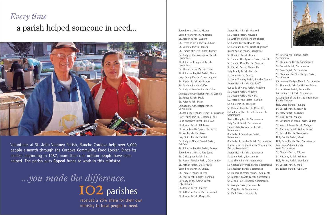#### *Every time*

### a parish helped someone in need...



Volunteers at St. John Vianney Parish, Rancho Cordova help over 5,000 people a month through the Cordova Community Food Locker. Since its modest beginning in 1987, more than one million people have been helped. The parish puts Appeal funds to work in this ministry.

# *...you made the difference.* IO2 parishes

received a 25% share for their own ministry to local people in need.

Sacred Heart Parish, Alturas

Sacred Heart Parish, Anderson St. Joseph Parish, Auburn St. Teresa of Avila Parish, Auburn St. Dominic Parish, Benicia St. Francis of Assisi Parish, Burney Our Lady of the Assumption Parish, Carmichael St. John the Evangelist Parish, Carmichael Our Divine Savior Parish, Chico St. John the Baptist Parish, Chico Holy Family Parish, Citrus Heights St. Joseph Parish, Clarksburg St. Dominic Parish, Colfax Our Lady of Lourdes Parish, Colusa Immaculate Conception Parish, Corning St. James Parish, Davis St. Peter Parish, Dixon Immaculate Conception Parish, Downieville St. John The Evangelist Parish, Dunsmuir Holy Trinity Parish, El Dorado Hills

Good Shepherd Parish, Elk Grove St. Joseph Parish, Elk Grove St. Maria Goretti Parish, Elk Grove St. Mel Parish, Fair Oaks Holy Spirit Parish, Fairfield Our Lady of Mount Carmel Parish, Fairfield

St. John the Baptist Parish, Folsom Sacred Heart Parish, Fort Jones St. Christopher Parish, Galt St. Joseph Marello Parish, Granite Bay St. Patrick Parish, Grass Valley Sacred Heart Parish, Gridley St. Therese Parish, Isleton

St. Paul Parish, Knights Landing Our Lady of the Snows Parish, Lake Almanor

St. Joseph Parish, Lincoln St. Katharine Drexel Parish, Martell St. Joseph Parish, Marysville

- St. Anthony Parish, Mount Shasta St. Lawrence Parish, North Highlands Divine Savior Parish, Orangevale St. Thomas the Apostle Parish, Oroville St. Thomas More Parish, Paradise St. John Vianney Parish, Rancho Cordova Our Lady of Mercy Parish, Redding
- St. Rose of Lima Parish, Roseville
- Cathedral of the Blessed Sacrament,
	-
	-
- Our Lady of Lourdes Parish, Sacramento Presentation of the Blessed Virgin Mary St. Charles Borromeo Parish, Sacramento St. Elizabeth Parish, Sacramento St. Francis of Assisi Parish, Sacramento St. Ignatius Loyola Parish, Sacramento St. Jeong-Hae Elizabeth, Sacramento,
	-
	-

Sacred Heart Parish, Maxwell St. Joseph Parish, McCloud St. Canice Parish, Nevada City St. Dominic Parish, Orland St. Patrick Parish, Placerville Holy Family Parish, Portola St. John Parish, Quincy Sacred Heart Parish, Red Bluff St. Joseph Parish, Redding St. Joseph Parish, Rio Vista SS. Peter & Paul Parish, Rocklin St. Clare Parish, Roseville Sacramento Divine Mercy Parish, Sacramento Holy Spirit Parish, Sacramento Immaculate Conception Parish, Sacramento Our Lady of Guadalupe Parish, Sacramento Parish, Sacramento Sacred Heart Parish, Sacramento St. Anne Parish, Sacramento St. Anthony Parish, Sacramento St. Joseph Parish, Sacramento St. Mary Parish, Sacramento St. Paul Parish, Sacramento



St. Peter & All Hallows Parish, Sacramento St. Philomene Parish, Sacramento St. Robert Parish, Sacramento St. Rose Parish, Sacramento St. Stephen, the First Martyr, Parish, Sacramento Vietnamese Martyrs Church, Sacramento St. Theresa Parish, South Lake Tahoe Sacred Heart Parish, Susanville Corpus Christi Parish, Tahoe City Assumption of the Blessed Virgin Mary Parish, Truckee Holy Cross Parish, Tulelake St. Joseph Parish, Vacaville St. Mary Parish, Vacaville St. Basil Parish, Vallejo St. Catherine of Siena Parish, Vallejo St. Vincent Ferrer Parish, Vallejo St. Anthony Parish, Walnut Grove St. Patrick Parish, Weaverville Holy Family Parish, Weed Holy Cross Parish, West Sacramento Our Lady of Grace Parish, West Sacramento St. Monica Parish, Willows St. Anthony Parish, Winters Holy Rosary Parish, Woodland St. Joseph Parish, Yreka St. Isidore Parish, Yuba City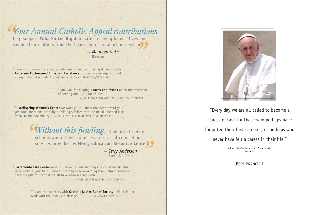" Thank you for helping **Loaves and Fishes** reach the milestone of serving our 7,000,000th meal!" — Sr. Libby Fernandez, RSM, Executive Director

"At **Wellspring Women's Center** we want you to know that we steward your generous donations carefully providing services that are not duplicated elsewhere in the community."  $-$  SR. JUDY ILLIG, IBVM, EXECUTIVE DIRECTOR

"**Sacramento Life Center** relies 100% on private funding and could not do this work without your help. There is nothing more rewarding than helping someone have the gift of life that we all have been blessed with."

— Marie Leatherby, Executive Director

" You are true partners with **Catholic Ladies Relief Society** – Chico in our work with the poor. God bless you!" - JEAN MAYER, PRESIDENT



"Generous donations are multiplied many times over making it possible for **Anderson Cottonwood Christian Assistance** to purchase emergency food at significant discounts." — Deacon Mike Evans, Secretary/Treasurer

— *Maureen Guth* **Director** 

*Your Annual Catholic Appeal contributions*  help support **Yuba Sutter Right to Life** in saving babies' lives and

saving their mothers from the heartache of an abortion decision.

*Without this funding,* students at needy schools would have no access to critical counseling services provided by **Mercy Education Resource Center.**

> — *Terry Anderson* Executive Director

"Every day we are all called to become a 'caress of God' for those who perhaps have forgotten their first caresses, or perhaps who never have felt a caress in their life."

Address to Members of St. Peter's Circle 10.31.13

Pope Francis I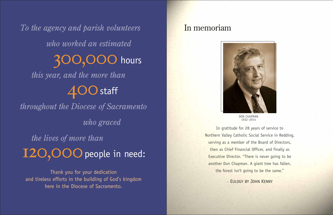*To the agency and parish volunteers who worked an estimated this year, and the more than throughout the Diocese of Sacramento who graced the lives of more than* 300,000 hours  $400$  staff I2O, OOO people in need:

Thank you for your dedication and tireless efforts in the building of God's kingdom here in the Diocese of Sacramento.

DON CHAPMAN 1932–2014

In gratitude for 28 years of service to Northern Valley Catholic Social Service in Redding, serving as a member of the Board of Directors, then as Chief Financial Officer, and finally as Executive Director. "There is never going to be another Don Chapman. A giant tree has fallen, the forest isn't going to be the same."

– Eulogy by John Kenny

#### In memoriam